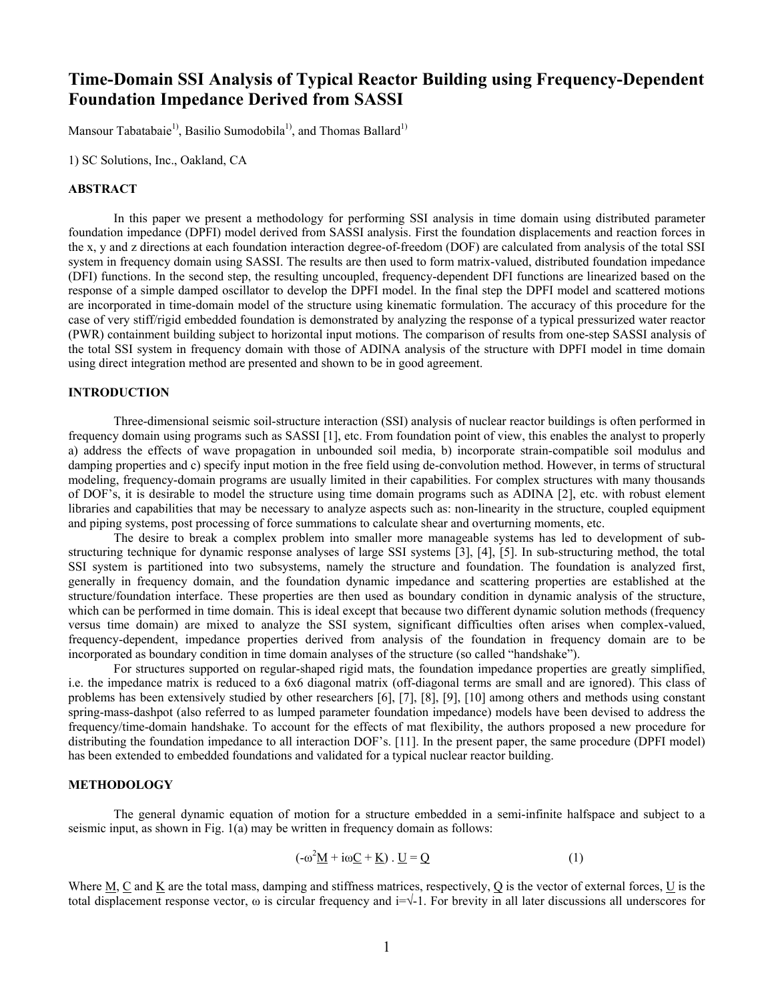# **Time-Domain SSI Analysis of Typical Reactor Building using Frequency-Dependent Foundation Impedance Derived from SASSI**

Mansour Tabatabaie<sup>1)</sup>, Basilio Sumodobila<sup>1)</sup>, and Thomas Ballard<sup>1)</sup>

1) SC Solutions, Inc., Oakland, CA

# **ABSTRACT**

In this paper we present a methodology for performing SSI analysis in time domain using distributed parameter foundation impedance (DPFI) model derived from SASSI analysis. First the foundation displacements and reaction forces in the x, y and z directions at each foundation interaction degree-of-freedom (DOF) are calculated from analysis of the total SSI system in frequency domain using SASSI. The results are then used to form matrix-valued, distributed foundation impedance (DFI) functions. In the second step, the resulting uncoupled, frequency-dependent DFI functions are linearized based on the response of a simple damped oscillator to develop the DPFI model. In the final step the DPFI model and scattered motions are incorporated in time-domain model of the structure using kinematic formulation. The accuracy of this procedure for the case of very stiff/rigid embedded foundation is demonstrated by analyzing the response of a typical pressurized water reactor (PWR) containment building subject to horizontal input motions. The comparison of results from one-step SASSI analysis of the total SSI system in frequency domain with those of ADINA analysis of the structure with DPFI model in time domain using direct integration method are presented and shown to be in good agreement.

# **INTRODUCTION**

Three-dimensional seismic soil-structure interaction (SSI) analysis of nuclear reactor buildings is often performed in frequency domain using programs such as SASSI [1], etc. From foundation point of view, this enables the analyst to properly a) address the effects of wave propagation in unbounded soil media, b) incorporate strain-compatible soil modulus and damping properties and c) specify input motion in the free field using de-convolution method. However, in terms of structural modeling, frequency-domain programs are usually limited in their capabilities. For complex structures with many thousands of DOF's, it is desirable to model the structure using time domain programs such as ADINA [2], etc. with robust element libraries and capabilities that may be necessary to analyze aspects such as: non-linearity in the structure, coupled equipment and piping systems, post processing of force summations to calculate shear and overturning moments, etc.

The desire to break a complex problem into smaller more manageable systems has led to development of substructuring technique for dynamic response analyses of large SSI systems [3], [4], [5]. In sub-structuring method, the total SSI system is partitioned into two subsystems, namely the structure and foundation. The foundation is analyzed first, generally in frequency domain, and the foundation dynamic impedance and scattering properties are established at the structure/foundation interface. These properties are then used as boundary condition in dynamic analysis of the structure, which can be performed in time domain. This is ideal except that because two different dynamic solution methods (frequency versus time domain) are mixed to analyze the SSI system, significant difficulties often arises when complex-valued, frequency-dependent, impedance properties derived from analysis of the foundation in frequency domain are to be incorporated as boundary condition in time domain analyses of the structure (so called "handshake").

 For structures supported on regular-shaped rigid mats, the foundation impedance properties are greatly simplified, i.e. the impedance matrix is reduced to a 6x6 diagonal matrix (off-diagonal terms are small and are ignored). This class of problems has been extensively studied by other researchers [6], [7], [8], [9], [10] among others and methods using constant spring-mass-dashpot (also referred to as lumped parameter foundation impedance) models have been devised to address the frequency/time-domain handshake. To account for the effects of mat flexibility, the authors proposed a new procedure for distributing the foundation impedance to all interaction DOF's. [11]. In the present paper, the same procedure (DPFI model) has been extended to embedded foundations and validated for a typical nuclear reactor building.

# **METHODOLOGY**

The general dynamic equation of motion for a structure embedded in a semi-infinite halfspace and subject to a seismic input, as shown in Fig. 1(a) may be written in frequency domain as follows:

$$
(-\omega^2 \underline{M} + i\omega \underline{C} + \underline{K}) \cdot \underline{U} = \underline{Q}
$$
 (1)

Where M, C and K are the total mass, damping and stiffness matrices, respectively, Q is the vector of external forces, U is the total displacement response vector,  $\omega$  is circular frequency and i= $\sqrt{-1}$ . For brevity in all later discussions all underscores for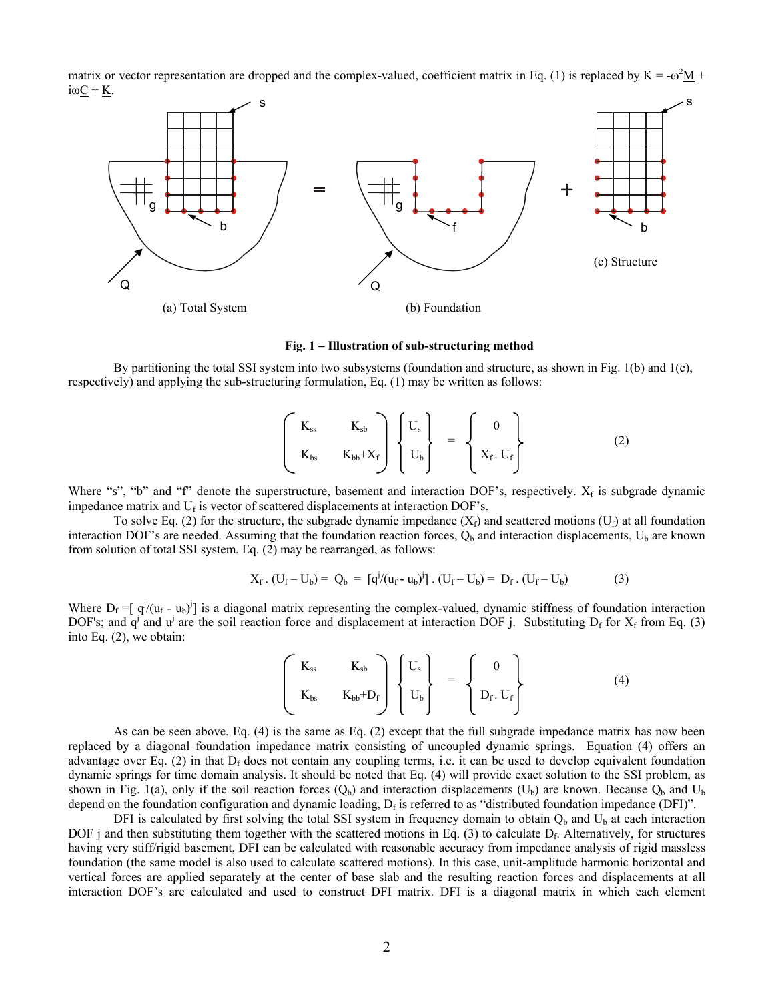matrix or vector representation are dropped and the complex-valued, coefficient matrix in Eq. (1) is replaced by  $K = -\omega^2 \underline{M} +$  $iω$  $C + K$ .



**Fig. 1 – Illustration of sub-structuring method** 

By partitioning the total SSI system into two subsystems (foundation and structure, as shown in Fig. 1(b) and 1(c), respectively) and applying the sub-structuring formulation, Eq. (1) may be written as follows:

$$
\begin{pmatrix} K_{ss} & K_{sb} \\ K_{bs} & K_{bb}+X_f \end{pmatrix} \begin{Bmatrix} U_s \\ U_b \end{Bmatrix} = \begin{Bmatrix} 0 \\ X_f. U_f \end{Bmatrix}
$$
 (2)

Where "s", "b" and "f" denote the superstructure, basement and interaction DOF's, respectively.  $X_f$  is subgrade dynamic impedance matrix and  $U_f$  is vector of scattered displacements at interaction DOF's.

To solve Eq. (2) for the structure, the subgrade dynamic impedance  $(X_f)$  and scattered motions  $(U_f)$  at all foundation interaction DOF's are needed. Assuming that the foundation reaction forces,  $Q_b$  and interaction displacements,  $U_b$  are known from solution of total SSI system, Eq. (2) may be rearranged, as follows:

$$
X_f \cdot (U_f - U_b) = Q_b = [q^{j}/(u_f - u_b)^{j}] \cdot (U_f - U_b) = D_f \cdot (U_f - U_b)
$$
 (3)

Where  $D_f = [q^j/(u_f - u_b)^j]$  is a diagonal matrix representing the complex-valued, dynamic stiffness of foundation interaction DOF's; and  $q^j$  and  $u^j$  are the soil reaction force and displacement at interaction DOF j. Substituting  $D_f$  for  $X_f$  from Eq. (3) into Eq. (2), we obtain:

$$
\begin{pmatrix}\nK_{ss} & K_{sb} \\
K_{bs} & K_{bb}+D_f\n\end{pmatrix}\n\begin{pmatrix}\nU_s \\
U_b\n\end{pmatrix} = \n\begin{pmatrix}\n0 \\
D_f \cdot U_f\n\end{pmatrix}
$$
\n(4)

As can be seen above, Eq. (4) is the same as Eq. (2) except that the full subgrade impedance matrix has now been replaced by a diagonal foundation impedance matrix consisting of uncoupled dynamic springs. Equation (4) offers an advantage over Eq. (2) in that  $D_f$  does not contain any coupling terms, i.e. it can be used to develop equivalent foundation dynamic springs for time domain analysis. It should be noted that Eq. (4) will provide exact solution to the SSI problem, as shown in Fig. 1(a), only if the soil reaction forces  $(Q_b)$  and interaction displacements  $(U_b)$  are known. Because  $Q_b$  and  $U_b$ depend on the foundation configuration and dynamic loading,  $D_f$  is referred to as "distributed foundation impedance (DFI)".

DFI is calculated by first solving the total SSI system in frequency domain to obtain  $Q_b$  and  $U_b$  at each interaction DOF j and then substituting them together with the scattered motions in Eq. (3) to calculate  $D_f$ . Alternatively, for structures having very stiff/rigid basement, DFI can be calculated with reasonable accuracy from impedance analysis of rigid massless foundation (the same model is also used to calculate scattered motions). In this case, unit-amplitude harmonic horizontal and vertical forces are applied separately at the center of base slab and the resulting reaction forces and displacements at all interaction DOF's are calculated and used to construct DFI matrix. DFI is a diagonal matrix in which each element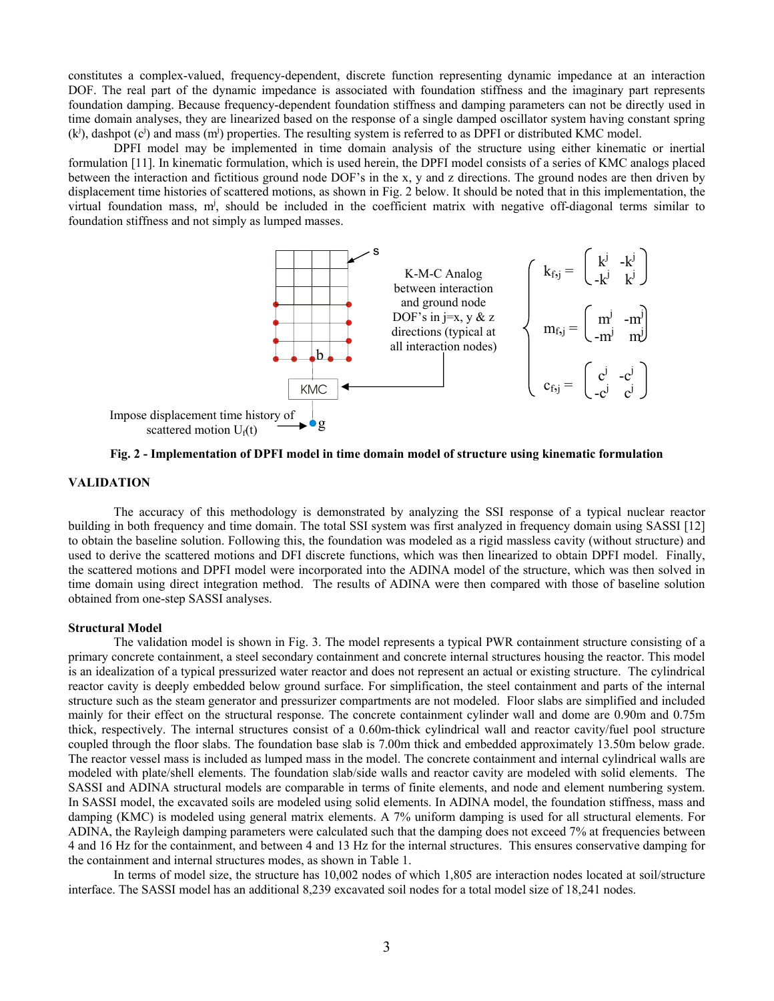constitutes a complex-valued, frequency-dependent, discrete function representing dynamic impedance at an interaction DOF. The real part of the dynamic impedance is associated with foundation stiffness and the imaginary part represents foundation damping. Because frequency-dependent foundation stiffness and damping parameters can not be directly used in time domain analyses, they are linearized based on the response of a single damped oscillator system having constant spring  $(k<sup>j</sup>)$ , dashpot (c<sup>j</sup>) and mass (m<sup>j</sup>) properties. The resulting system is referred to as DPFI or distributed KMC model.

DPFI model may be implemented in time domain analysis of the structure using either kinematic or inertial formulation [11]. In kinematic formulation, which is used herein, the DPFI model consists of a series of KMC analogs placed between the interaction and fictitious ground node DOF's in the x, y and z directions. The ground nodes are then driven by displacement time histories of scattered motions, as shown in Fig. 2 below. It should be noted that in this implementation, the virtual foundation mass, m<sup>j</sup>, should be included in the coefficient matrix with negative off-diagonal terms similar to foundation stiffness and not simply as lumped masses.



**Fig. 2 - Implementation of DPFI model in time domain model of structure using kinematic formulation** 

# **VALIDATION**

The accuracy of this methodology is demonstrated by analyzing the SSI response of a typical nuclear reactor building in both frequency and time domain. The total SSI system was first analyzed in frequency domain using SASSI [12] to obtain the baseline solution. Following this, the foundation was modeled as a rigid massless cavity (without structure) and used to derive the scattered motions and DFI discrete functions, which was then linearized to obtain DPFI model. Finally, the scattered motions and DPFI model were incorporated into the ADINA model of the structure, which was then solved in time domain using direct integration method. The results of ADINA were then compared with those of baseline solution obtained from one-step SASSI analyses.

#### **Structural Model**

The validation model is shown in Fig. 3. The model represents a typical PWR containment structure consisting of a primary concrete containment, a steel secondary containment and concrete internal structures housing the reactor. This model is an idealization of a typical pressurized water reactor and does not represent an actual or existing structure. The cylindrical reactor cavity is deeply embedded below ground surface. For simplification, the steel containment and parts of the internal structure such as the steam generator and pressurizer compartments are not modeled. Floor slabs are simplified and included mainly for their effect on the structural response. The concrete containment cylinder wall and dome are 0.90m and 0.75m thick, respectively. The internal structures consist of a 0.60m-thick cylindrical wall and reactor cavity/fuel pool structure coupled through the floor slabs. The foundation base slab is 7.00m thick and embedded approximately 13.50m below grade. The reactor vessel mass is included as lumped mass in the model. The concrete containment and internal cylindrical walls are modeled with plate/shell elements. The foundation slab/side walls and reactor cavity are modeled with solid elements. The SASSI and ADINA structural models are comparable in terms of finite elements, and node and element numbering system. In SASSI model, the excavated soils are modeled using solid elements. In ADINA model, the foundation stiffness, mass and damping (KMC) is modeled using general matrix elements. A 7% uniform damping is used for all structural elements. For ADINA, the Rayleigh damping parameters were calculated such that the damping does not exceed 7% at frequencies between 4 and 16 Hz for the containment, and between 4 and 13 Hz for the internal structures. This ensures conservative damping for the containment and internal structures modes, as shown in Table 1.

In terms of model size, the structure has 10,002 nodes of which 1,805 are interaction nodes located at soil/structure interface. The SASSI model has an additional 8,239 excavated soil nodes for a total model size of 18,241 nodes.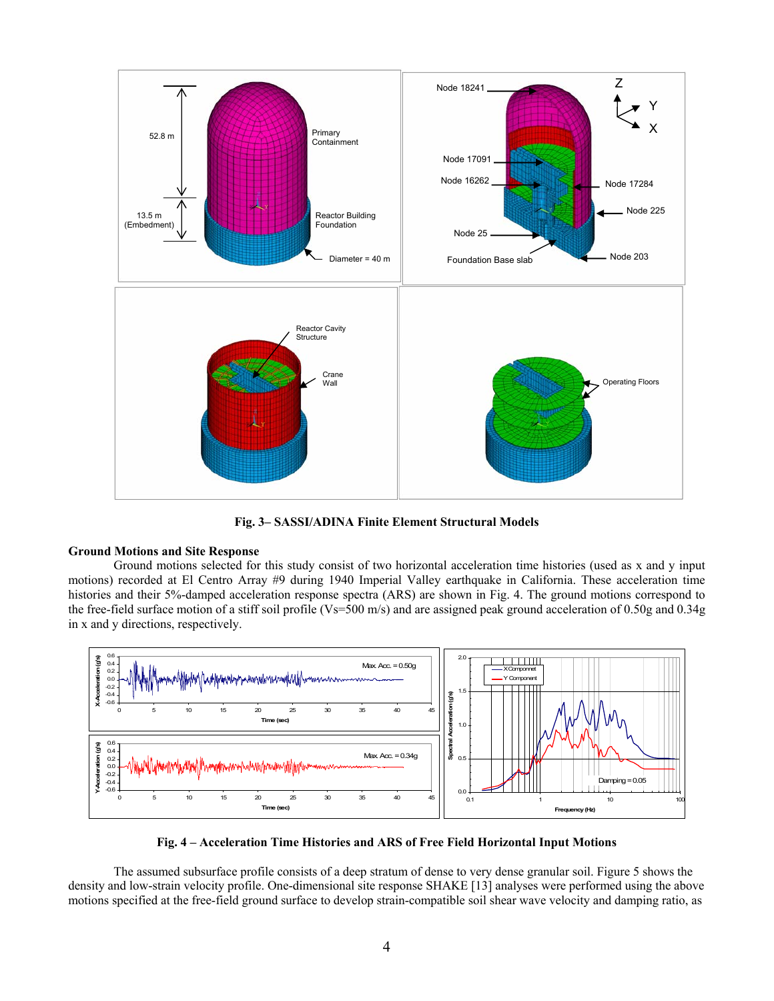

**Fig. 3– SASSI/ADINA Finite Element Structural Models** 

# **Ground Motions and Site Response**

 Ground motions selected for this study consist of two horizontal acceleration time histories (used as x and y input motions) recorded at El Centro Array #9 during 1940 Imperial Valley earthquake in California. These acceleration time histories and their 5%-damped acceleration response spectra (ARS) are shown in Fig. 4. The ground motions correspond to the free-field surface motion of a stiff soil profile (Vs=500 m/s) and are assigned peak ground acceleration of 0.50g and 0.34g in x and y directions, respectively.



**Fig. 4 – Acceleration Time Histories and ARS of Free Field Horizontal Input Motions** 

The assumed subsurface profile consists of a deep stratum of dense to very dense granular soil. Figure 5 shows the density and low-strain velocity profile. One-dimensional site response SHAKE [13] analyses were performed using the above motions specified at the free-field ground surface to develop strain-compatible soil shear wave velocity and damping ratio, as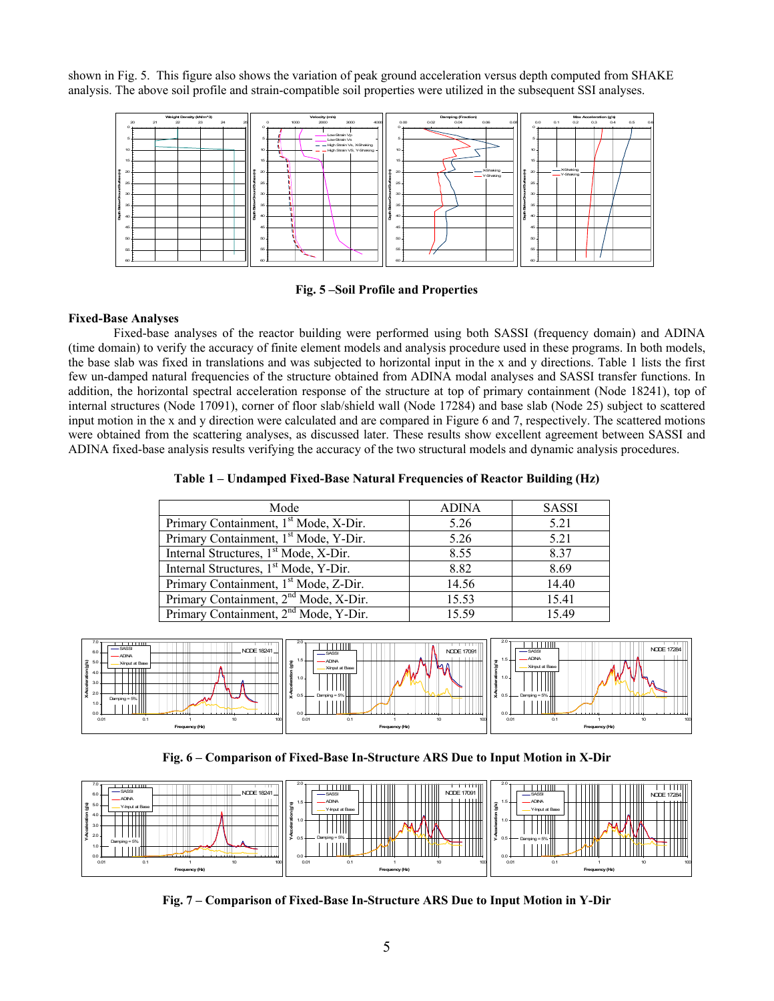shown in Fig. 5. This figure also shows the variation of peak ground acceleration versus depth computed from SHAKE analysis. The above soil profile and strain-compatible soil properties were utilized in the subsequent SSI analyses.





### **Fixed-Base Analyses**

 Fixed-base analyses of the reactor building were performed using both SASSI (frequency domain) and ADINA (time domain) to verify the accuracy of finite element models and analysis procedure used in these programs. In both models, the base slab was fixed in translations and was subjected to horizontal input in the x and y directions. Table 1 lists the first few un-damped natural frequencies of the structure obtained from ADINA modal analyses and SASSI transfer functions. In addition, the horizontal spectral acceleration response of the structure at top of primary containment (Node 18241), top of internal structures (Node 17091), corner of floor slab/shield wall (Node 17284) and base slab (Node 25) subject to scattered input motion in the x and y direction were calculated and are compared in Figure 6 and 7, respectively. The scattered motions were obtained from the scattering analyses, as discussed later. These results show excellent agreement between SASSI and ADINA fixed-base analysis results verifying the accuracy of the two structural models and dynamic analysis procedures.

**Table 1 – Undamped Fixed-Base Natural Frequencies of Reactor Building (Hz)** 

| Mode                                              | <b>ADINA</b> | <b>SASSI</b> |
|---------------------------------------------------|--------------|--------------|
| Primary Containment, 1 <sup>st</sup> Mode, X-Dir. | 5.26         | 5.21         |
| Primary Containment, 1 <sup>st</sup> Mode, Y-Dir. | 5.26         | 5.21         |
| Internal Structures, 1 <sup>st</sup> Mode, X-Dir. | 8.55         | 8.37         |
| Internal Structures, 1 <sup>st</sup> Mode, Y-Dir. | 8.82         | 8.69         |
| Primary Containment, 1 <sup>st</sup> Mode, Z-Dir. | 14.56        | 14.40        |
| Primary Containment, 2 <sup>nd</sup> Mode, X-Dir. | 15.53        | 15.41        |
| Primary Containment, 2 <sup>nd</sup> Mode, Y-Dir. | 15.59        | 1549         |



**Fig. 6 – Comparison of Fixed-Base In-Structure ARS Due to Input Motion in X-Dir** 



**Fig. 7 – Comparison of Fixed-Base In-Structure ARS Due to Input Motion in Y-Dir**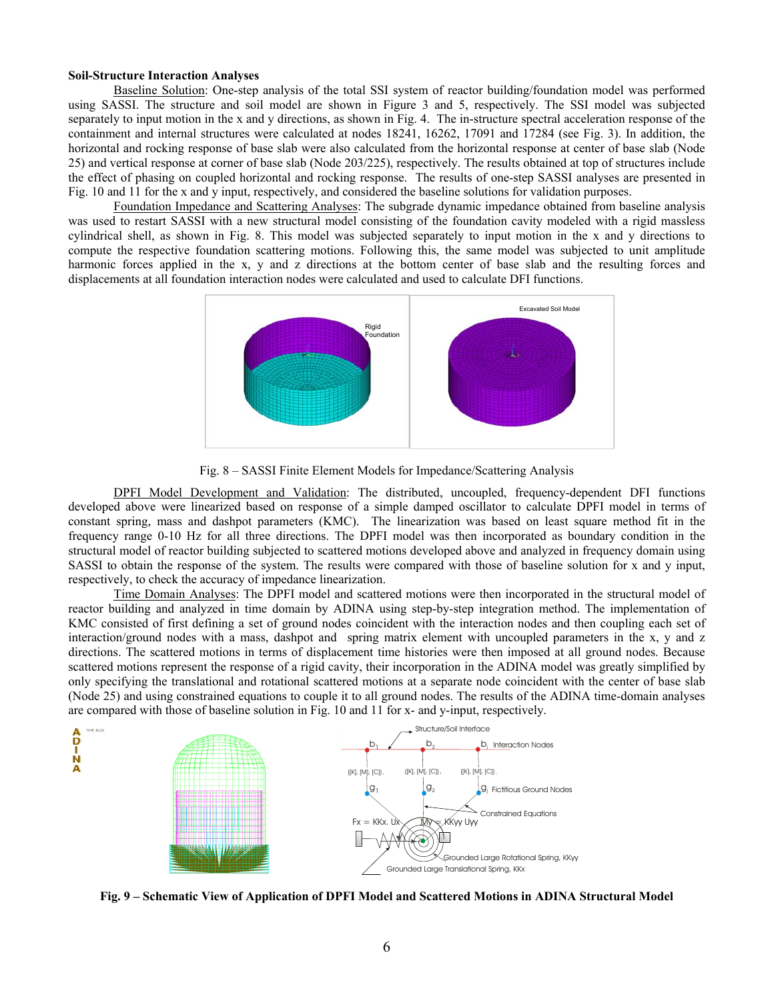### **Soil-Structure Interaction Analyses**

Baseline Solution: One-step analysis of the total SSI system of reactor building/foundation model was performed using SASSI. The structure and soil model are shown in Figure 3 and 5, respectively. The SSI model was subjected separately to input motion in the x and y directions, as shown in Fig. 4. The in-structure spectral acceleration response of the containment and internal structures were calculated at nodes 18241, 16262, 17091 and 17284 (see Fig. 3). In addition, the horizontal and rocking response of base slab were also calculated from the horizontal response at center of base slab (Node 25) and vertical response at corner of base slab (Node 203/225), respectively. The results obtained at top of structures include the effect of phasing on coupled horizontal and rocking response. The results of one-step SASSI analyses are presented in Fig. 10 and 11 for the x and y input, respectively, and considered the baseline solutions for validation purposes.

Foundation Impedance and Scattering Analyses: The subgrade dynamic impedance obtained from baseline analysis was used to restart SASSI with a new structural model consisting of the foundation cavity modeled with a rigid massless cylindrical shell, as shown in Fig. 8. This model was subjected separately to input motion in the x and y directions to compute the respective foundation scattering motions. Following this, the same model was subjected to unit amplitude harmonic forces applied in the x, y and z directions at the bottom center of base slab and the resulting forces and displacements at all foundation interaction nodes were calculated and used to calculate DFI functions.



Fig. 8 – SASSI Finite Element Models for Impedance/Scattering Analysis

DPFI Model Development and Validation: The distributed, uncoupled, frequency-dependent DFI functions developed above were linearized based on response of a simple damped oscillator to calculate DPFI model in terms of constant spring, mass and dashpot parameters (KMC). The linearization was based on least square method fit in the frequency range 0-10 Hz for all three directions. The DPFI model was then incorporated as boundary condition in the structural model of reactor building subjected to scattered motions developed above and analyzed in frequency domain using SASSI to obtain the response of the system. The results were compared with those of baseline solution for x and y input, respectively, to check the accuracy of impedance linearization.

Time Domain Analyses: The DPFI model and scattered motions were then incorporated in the structural model of reactor building and analyzed in time domain by ADINA using step-by-step integration method. The implementation of KMC consisted of first defining a set of ground nodes coincident with the interaction nodes and then coupling each set of interaction/ground nodes with a mass, dashpot and spring matrix element with uncoupled parameters in the x, y and z directions. The scattered motions in terms of displacement time histories were then imposed at all ground nodes. Because scattered motions represent the response of a rigid cavity, their incorporation in the ADINA model was greatly simplified by only specifying the translational and rotational scattered motions at a separate node coincident with the center of base slab (Node 25) and using constrained equations to couple it to all ground nodes. The results of the ADINA time-domain analyses are compared with those of baseline solution in Fig. 10 and 11 for x- and y-input, respectively.



**Fig. 9 – Schematic View of Application of DPFI Model and Scattered Motions in ADINA Structural Model**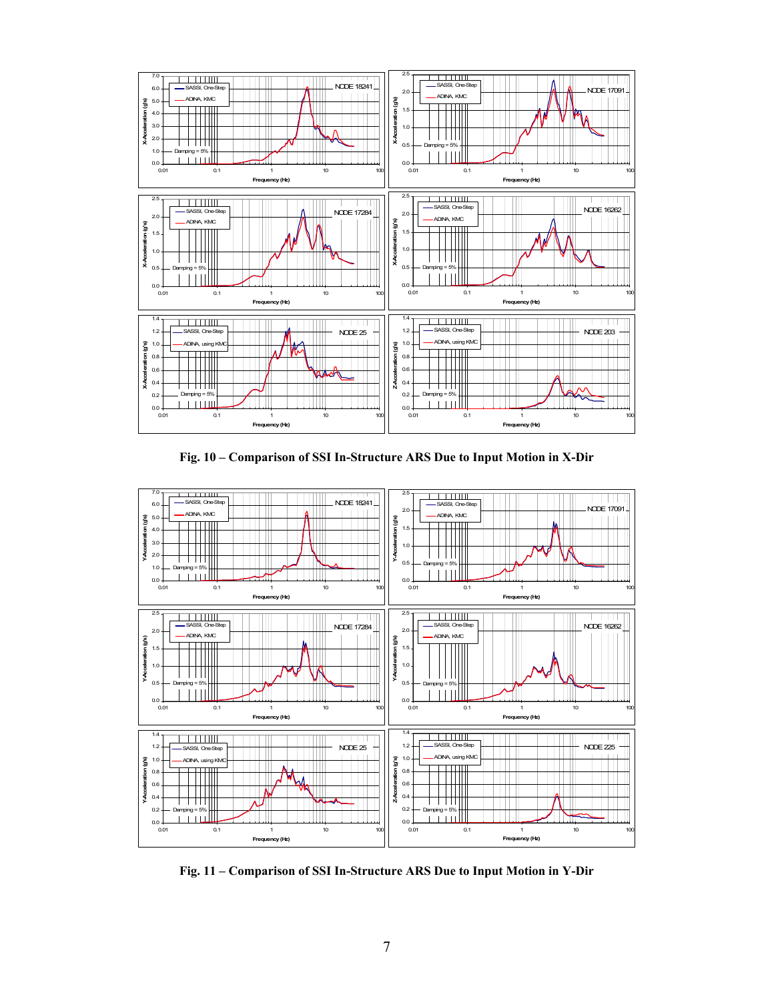

**Fig. 10 – Comparison of SSI In-Structure ARS Due to Input Motion in X-Dir** 



**Fig. 11 – Comparison of SSI In-Structure ARS Due to Input Motion in Y-Dir**